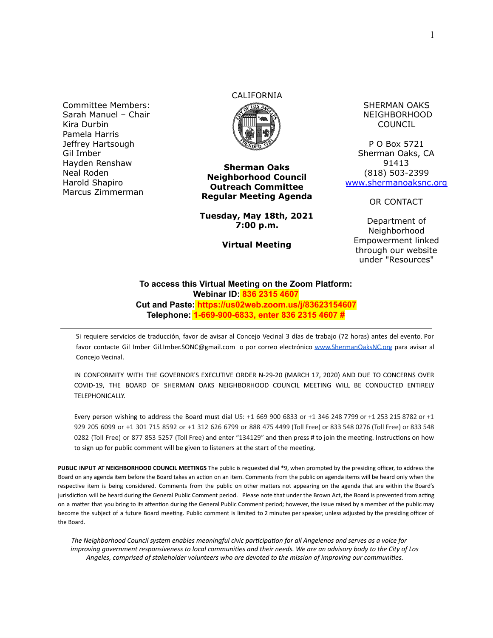Committee Members: Sarah Manuel – Chair Kira Durbin Pamela Harris Jeffrey Hartsough Gil Imber Hayden Renshaw Neal Roden Harold Shapiro Marcus Zimmerman

## CALIFORNIA



**Sherman Oaks Neighborhood Council Outreach Committee Regular Meeting Agenda**

**Tuesday, May 18th, 2021 7:00 p.m.**

**Virtual Meeting**

SHERMAN OAKS NEIGHBORHOOD COUNCIL

P O Box 5721 Sherman Oaks, CA 91413 (818) 503-2399 [www.shermanoaksnc.org](http://www.shermanoaksnc.org/)

OR CONTACT

Department of Neighborhood Empowerment linked through our website under "Resources"

## **To access this Virtual Meeting on the Zoom Platform: Webinar ID: 836 2315 4607 Cut and Paste: https://us02web.zoom.us/j/83623154607 Telephone: 1-669-900-6833, enter 836 2315 4607 #**

Si requiere servicios de traducción, favor de avisar al Concejo Vecinal 3 días de trabajo (72 horas) antes del evento. Por favor contacte Gil Imber Gil.Imber.SONC@gmail.com o por correo electrónico [www.ShermanOaksNC.org](http://www.shermanoaksnc.org/) para avisar al Concejo Vecinal.

IN CONFORMITY WITH THE GOVERNOR'S EXECUTIVE ORDER N-29-20 (MARCH 17, 2020) AND DUE TO CONCERNS OVER COVID-19, THE BOARD OF SHERMAN OAKS NEIGHBORHOOD COUNCIL MEETING WILL BE CONDUCTED ENTIRELY TELEPHONICALLY.

Every person wishing to address the Board must dial US: +1 669 900 6833 or +1 346 248 7799 or +1 253 215 8782 or +1 929 205 6099 or +1 301 715 8592 or +1 312 626 6799 or 888 475 4499 (Toll Free) or 833 548 0276 (Toll Free) or 833 548 0282 (Toll Free) or 877 853 5257 (Toll Free) and enter "134129" and then press # to join the meeting. Instructions on how to sign up for public comment will be given to listeners at the start of the meeting.

**PUBLIC INPUT AT NEIGHBORHOOD COUNCIL MEETINGS** The public is requested dial \*9, when prompted by the presiding officer, to address the Board on any agenda item before the Board takes an action on an item. Comments from the public on agenda items will be heard only when the respective item is being considered. Comments from the public on other matters not appearing on the agenda that are within the Board's jurisdiction will be heard during the General Public Comment period. Please note that under the Brown Act, the Board is prevented from acting on a matter that you bring to its attention during the General Public Comment period; however, the issue raised by a member of the public may become the subject of a future Board meeting. Public comment is limited to 2 minutes per speaker, unless adjusted by the presiding officer of the Board.

The Neighborhood Council system enables meaningful civic participation for all Angelenos and serves as a voice for *improving government responsiveness to local communities and their needs. We are an advisory body to the City of Los Angeles, comprised of stakeholder volunteers who are devoted to the mission of improving our communies.*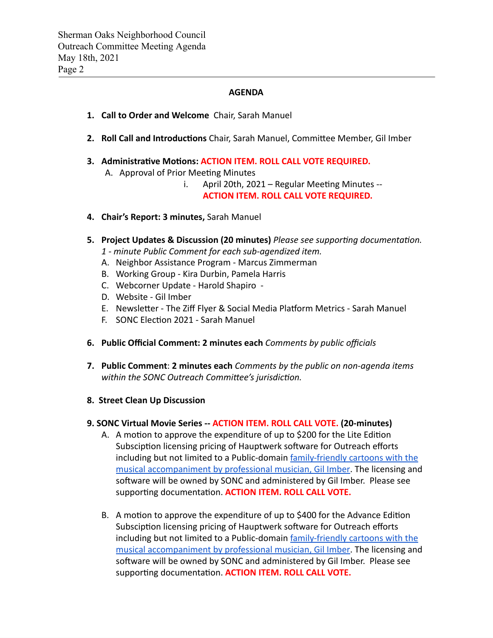## **AGENDA**

- **1. Call to Order and Welcome** Chair, Sarah Manuel
- 2. Roll Call and Introductions Chair, Sarah Manuel, Committee Member, Gil Imber
- **3. Administrative Motions: ACTION ITEM. ROLL CALL VOTE REQUIRED.** 
	- A. Approval of Prior Meeting Minutes
		- i. April 20th,  $2021$  Regular Meeting Minutes --**ACTION ITEM. ROLL CALL VOTE REQUIRED.**
- **4. Chair's Report: 3 minutes,** Sarah Manuel
- **5.** Project Updates & Discussion (20 minutes) *Please see supporting documentation.* 
	- *1 minute Public Comment for each sub-agendized item.*
	- A. Neighbor Assistance Program Marcus Zimmerman
	- B. Working Group Kira Durbin, Pamela Harris
	- C. Webcorner Update Harold Shapiro -
	- D. Website Gil Imber
	- E. Newsletter The Ziff Flyer & Social Media Platform Metrics Sarah Manuel
	- F. SONC Election 2021 Sarah Manuel
- **6. Public Official Comment: 2 minutes each** *Comments by public officials*
- **7. Public Comment** : **2 minutes each** *Comments by the public on non-agenda items*  within the SONC Outreach Committee's jurisdiction.
- **8. Street Clean Up Discussion**

## **9. SONC Virtual Movie Series -- ACTION ITEM. ROLL CALL VOTE. (20-minutes)**

- A. A motion to approve the expenditure of up to \$200 for the Lite Edition Subsciption licensing pricing of Hauptwerk software for Outreach efforts including but not limited to a Public-domain [family-friendly cartoons with the](https://youtu.be/vrODRjLJjuY)  [musical accompaniment by professional musician, Gil Imber .](https://youtu.be/vrODRjLJjuY) The licensing and software will be owned by SONC and administered by Gil Imber. Please see supporting documentation. **ACTION ITEM. ROLL CALL VOTE.**
- B. A motion to approve the expenditure of up to \$400 for the Advance Edition Subsciption licensing pricing of Hauptwerk software for Outreach efforts including but not limited to a Public-domain family-friendly cartoons with the [musical accompaniment by professional musician, Gil Imber .](https://youtu.be/vrODRjLJjuY) The licensing and software will be owned by SONC and administered by Gil Imber. Please see supporting documentation. **ACTION ITEM. ROLL CALL VOTE.**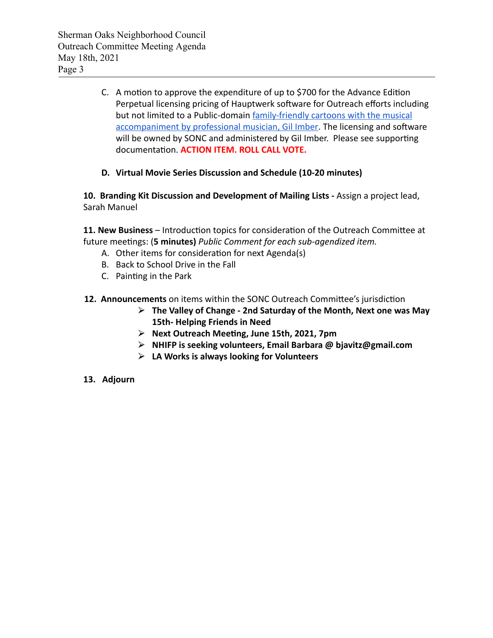- C. A motion to approve the expenditure of up to \$700 for the Advance Edition Perpetual licensing pricing of Hauptwerk software for Outreach efforts including but not limited to a Public-domain family-friendly cartoons with the musical [accompaniment by professional musician, Gil Imber](https://youtu.be/vrODRjLJjuY). The licensing and software will be owned by SONC and administered by Gil Imber. Please see supporting documentation. **ACTION ITEM. ROLL CALL VOTE.**
- **D. Virtual Movie Series Discussion and Schedule (10-20 minutes)**

**10. Branding Kit Discussion and Development of Mailing Lists -** Assign a project lead, Sarah Manuel

11. New Business - Introduction topics for consideration of the Outreach Committee at future meetings: (5 minutes) Public Comment for each sub-agendized item.

- A. Other items for consideration for next Agenda(s)
- B. Back to School Drive in the Fall
- C. Painting in the Park
- **12. Announcements** on items within the SONC Outreach Committee's jurisdiction
	- ⮚ **The Valley of Change 2nd Saturday of the Month, Next one was May 15th- Helping Friends in Need**
	- ⮚ **Next Outreach Meeng, June 15th, 2021, 7pm**
	- ⮚ **NHIFP is seeking volunteers, Email Barbara @ bjavitz@gmail.com**
	- ⮚ **LA Works is always looking for Volunteers**
- **13. Adjourn**